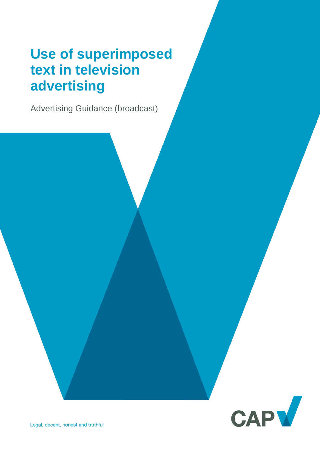# **Use of superimposed text in television advertising**

Advertising Guidance (broadcast)

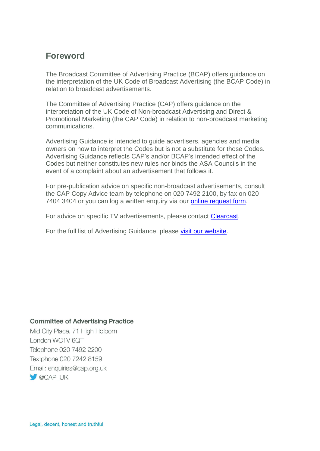## **Foreword**

The Broadcast Committee of Advertising Practice (BCAP) offers guidance on the interpretation of the UK Code of Broadcast Advertising (the BCAP Code) in relation to broadcast advertisements.

The Committee of Advertising Practice (CAP) offers guidance on the interpretation of the UK Code of Non-broadcast Advertising and Direct & Promotional Marketing (the CAP Code) in relation to non-broadcast marketing communications.

Advertising Guidance is intended to guide advertisers, agencies and media owners on how to interpret the Codes but is not a substitute for those Codes. Advertising Guidance reflects CAP's and/or BCAP's intended effect of the Codes but neither constitutes new rules nor binds the ASA Councils in the event of a complaint about an advertisement that follows it.

For pre-publication advice on specific non-broadcast advertisements, consult the CAP Copy Advice team by telephone on 020 7492 2100, by fax on 020 7404 3404 or you can log a written enquiry via our [online request form.](https://www.asa.org.uk/advice-and-resources/bespoke-copy-advice.html)

For advice on specific TV advertisements, please contact [Clearcast.](https://www.clearcast.co.uk/)

For the full list of Advertising Guidance, please [visit our website.](https://www.asa.org.uk/advice-and-resources/resource-library.html)

#### **Committee of Advertising Practice**

Mid City Place, 71 High Holborn London WC1V 6QT Telephone 020 7492 2200 Textphone 020 7242 8159 Email: enquiries@cap.org.uk **CAP UK**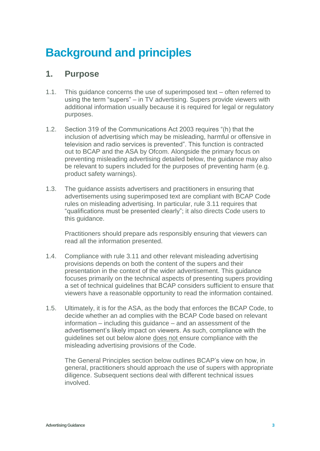## **Background and principles**

## **1. Purpose**

- 1.1. This guidance concerns the use of superimposed text often referred to using the term "supers" – in TV advertising. Supers provide viewers with additional information usually because it is required for legal or regulatory purposes.
- 1.2. Section 319 of the Communications Act 2003 requires "(h) that the inclusion of advertising which may be misleading, harmful or offensive in television and radio services is prevented". This function is contracted out to BCAP and the ASA by Ofcom. Alongside the primary focus on preventing misleading advertising detailed below, the guidance may also be relevant to supers included for the purposes of preventing harm (e.g. product safety warnings).
- 1.3. The guidance assists advertisers and practitioners in ensuring that advertisements using superimposed text are compliant with BCAP Code rules on misleading advertising. In particular, rule 3.11 requires that "qualifications must be presented clearly"; it also directs Code users to this guidance.

Practitioners should prepare ads responsibly ensuring that viewers can read all the information presented.

- 1.4. Compliance with rule 3.11 and other relevant misleading advertising provisions depends on both the content of the supers and their presentation in the context of the wider advertisement. This guidance focuses primarily on the technical aspects of presenting supers providing a set of technical guidelines that BCAP considers sufficient to ensure that viewers have a reasonable opportunity to read the information contained.
- 1.5. Ultimately, it is for the ASA, as the body that enforces the BCAP Code, to decide whether an ad complies with the BCAP Code based on relevant information – including this guidance – and an assessment of the advertisement's likely impact on viewers. As such, compliance with the guidelines set out below alone does not ensure compliance with the misleading advertising provisions of the Code.

The General Principles section below outlines BCAP's view on how, in general, practitioners should approach the use of supers with appropriate diligence. Subsequent sections deal with different technical issues involved.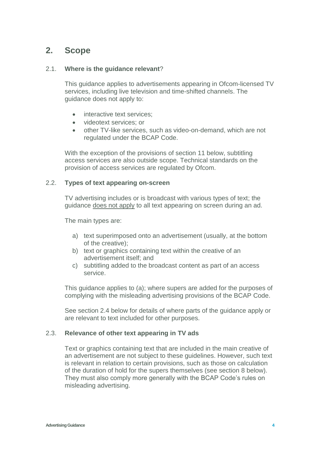## **2. Scope**

#### 2.1. **Where is the guidance relevant**?

This guidance applies to advertisements appearing in Ofcom-licensed TV services, including live television and time-shifted channels. The guidance does not apply to:

- interactive text services:
- videotext services; or
- other TV-like services, such as video-on-demand, which are not regulated under the BCAP Code.

With the exception of the provisions of section 11 below, subtitling access services are also outside scope. Technical standards on the provision of access services are regulated by Ofcom.

#### 2.2. **Types of text appearing on-screen**

TV advertising includes or is broadcast with various types of text; the guidance does not apply to all text appearing on screen during an ad.

The main types are:

- a) text superimposed onto an advertisement (usually, at the bottom of the creative);
- b) text or graphics containing text within the creative of an advertisement itself; and
- c) subtitling added to the broadcast content as part of an access service.

This guidance applies to (a); where supers are added for the purposes of complying with the misleading advertising provisions of the BCAP Code.

See section 2.4 below for details of where parts of the guidance apply or are relevant to text included for other purposes.

#### 2.3. **Relevance of other text appearing in TV ads**

Text or graphics containing text that are included in the main creative of an advertisement are not subject to these guidelines. However, such text is relevant in relation to certain provisions, such as those on calculation of the duration of hold for the supers themselves (see section 8 below). They must also comply more generally with the BCAP Code's rules on misleading advertising.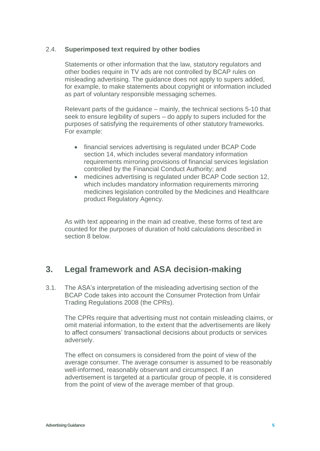#### 2.4. **Superimposed text required by other bodies**

Statements or other information that the law, statutory regulators and other bodies require in TV ads are not controlled by BCAP rules on misleading advertising. The guidance does not apply to supers added, for example, to make statements about copyright or information included as part of voluntary responsible messaging schemes.

Relevant parts of the guidance – mainly, the technical sections 5-10 that seek to ensure legibility of supers – do apply to supers included for the purposes of satisfying the requirements of other statutory frameworks. For example:

- financial services advertising is regulated under BCAP Code section 14, which includes several mandatory information requirements mirroring provisions of financial services legislation controlled by the Financial Conduct Authority; and
- medicines advertising is regulated under BCAP Code section 12, which includes mandatory information requirements mirroring medicines legislation controlled by the Medicines and Healthcare product Regulatory Agency.

As with text appearing in the main ad creative, these forms of text are counted for the purposes of duration of hold calculations described in section 8 below.

## **3. Legal framework and ASA decision-making**

3.1. The ASA's interpretation of the misleading advertising section of the BCAP Code takes into account the Consumer Protection from Unfair Trading Regulations 2008 (the CPRs).

The CPRs require that advertising must not contain misleading claims, or omit material information, to the extent that the advertisements are likely to affect consumers' transactional decisions about products or services adversely.

The effect on consumers is considered from the point of view of the average consumer. The average consumer is assumed to be reasonably well-informed, reasonably observant and circumspect. If an advertisement is targeted at a particular group of people, it is considered from the point of view of the average member of that group.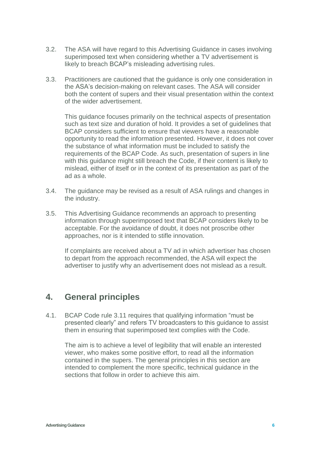- 3.2. The ASA will have regard to this Advertising Guidance in cases involving superimposed text when considering whether a TV advertisement is likely to breach BCAP's misleading advertising rules.
- 3.3. Practitioners are cautioned that the guidance is only one consideration in the ASA's decision-making on relevant cases. The ASA will consider both the content of supers and their visual presentation within the context of the wider advertisement.

This guidance focuses primarily on the technical aspects of presentation such as text size and duration of hold. It provides a set of guidelines that BCAP considers sufficient to ensure that viewers have a reasonable opportunity to read the information presented. However, it does not cover the substance of what information must be included to satisfy the requirements of the BCAP Code. As such, presentation of supers in line with this guidance might still breach the Code, if their content is likely to mislead, either of itself or in the context of its presentation as part of the ad as a whole.

- 3.4. The guidance may be revised as a result of ASA rulings and changes in the industry.
- 3.5. This Advertising Guidance recommends an approach to presenting information through superimposed text that BCAP considers likely to be acceptable. For the avoidance of doubt, it does not proscribe other approaches, nor is it intended to stifle innovation.

If complaints are received about a TV ad in which advertiser has chosen to depart from the approach recommended, the ASA will expect the advertiser to justify why an advertisement does not mislead as a result.

### **4. General principles**

4.1. BCAP Code rule 3.11 requires that qualifying information "must be presented clearly" and refers TV broadcasters to this guidance to assist them in ensuring that superimposed text complies with the Code.

The aim is to achieve a level of legibility that will enable an interested viewer, who makes some positive effort, to read all the information contained in the supers. The general principles in this section are intended to complement the more specific, technical guidance in the sections that follow in order to achieve this aim.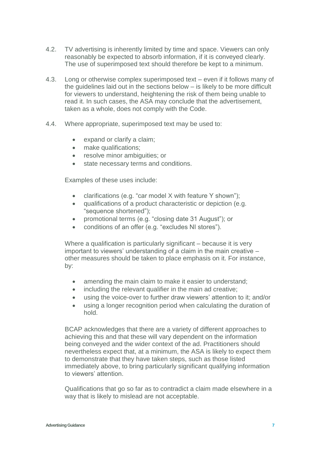- 4.2. TV advertising is inherently limited by time and space. Viewers can only reasonably be expected to absorb information, if it is conveyed clearly. The use of superimposed text should therefore be kept to a minimum.
- 4.3. Long or otherwise complex superimposed text even if it follows many of the guidelines laid out in the sections below – is likely to be more difficult for viewers to understand, heightening the risk of them being unable to read it. In such cases, the ASA may conclude that the advertisement, taken as a whole, does not comply with the Code.
- 4.4. Where appropriate, superimposed text may be used to:
	- expand or clarify a claim;
	- make qualifications;
	- resolve minor ambiguities; or
	- state necessary terms and conditions.

Examples of these uses include:

- clarifications (e.g. "car model X with feature Y shown");
- qualifications of a product characteristic or depiction (e.g. "sequence shortened");
- promotional terms (e.g. "closing date 31 August"); or
- conditions of an offer (e.g. "excludes NI stores").

Where a qualification is particularly significant – because it is very important to viewers' understanding of a claim in the main creative – other measures should be taken to place emphasis on it. For instance, by:

- amending the main claim to make it easier to understand;
- including the relevant qualifier in the main ad creative;
- using the voice-over to further draw viewers' attention to it; and/or
- using a longer recognition period when calculating the duration of hold.

BCAP acknowledges that there are a variety of different approaches to achieving this and that these will vary dependent on the information being conveyed and the wider context of the ad. Practitioners should nevertheless expect that, at a minimum, the ASA is likely to expect them to demonstrate that they have taken steps, such as those listed immediately above, to bring particularly significant qualifying information to viewers' attention.

Qualifications that go so far as to contradict a claim made elsewhere in a way that is likely to mislead are not acceptable.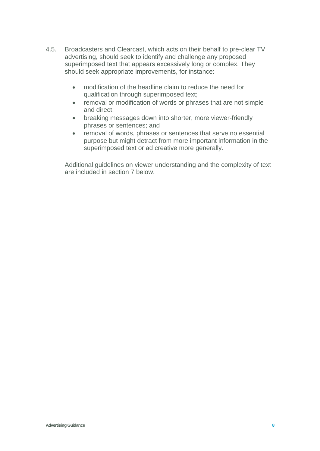- 4.5. Broadcasters and Clearcast, which acts on their behalf to pre-clear TV advertising, should seek to identify and challenge any proposed superimposed text that appears excessively long or complex. They should seek appropriate improvements, for instance:
	- modification of the headline claim to reduce the need for qualification through superimposed text;
	- removal or modification of words or phrases that are not simple and direct;
	- breaking messages down into shorter, more viewer-friendly phrases or sentences; and
	- removal of words, phrases or sentences that serve no essential purpose but might detract from more important information in the superimposed text or ad creative more generally.

Additional guidelines on viewer understanding and the complexity of text are included in section 7 below.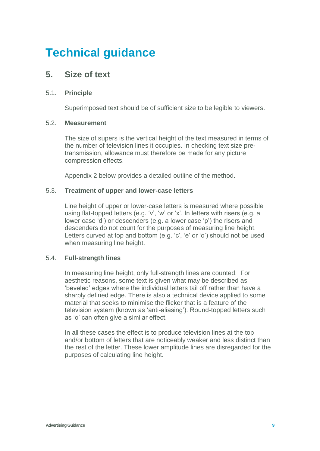## **Technical guidance**

## **5. Size of text**

#### 5.1. **Principle**

Superimposed text should be of sufficient size to be legible to viewers.

#### 5.2. **Measurement**

The size of supers is the vertical height of the text measured in terms of the number of television lines it occupies. In checking text size pretransmission, allowance must therefore be made for any picture compression effects.

Appendix 2 below provides a detailed outline of the method.

#### 5.3. **Treatment of upper and lower-case letters**

Line height of upper or lower-case letters is measured where possible using flat-topped letters (e.g. 'v', 'w' or 'x'. In letters with risers (e.g. a lower case 'd') or descenders (e.g. a lower case 'p') the risers and descenders do not count for the purposes of measuring line height. Letters curved at top and bottom (e.g. 'c', 'e' or 'o') should not be used when measuring line height.

#### 5.4. **Full-strength lines**

In measuring line height, only full-strength lines are counted. For aesthetic reasons, some text is given what may be described as 'beveled' edges where the individual letters tail off rather than have a sharply defined edge. There is also a technical device applied to some material that seeks to minimise the flicker that is a feature of the television system (known as 'anti-aliasing'). Round-topped letters such as 'o' can often give a similar effect.

In all these cases the effect is to produce television lines at the top and/or bottom of letters that are noticeably weaker and less distinct than the rest of the letter. These lower amplitude lines are disregarded for the purposes of calculating line height.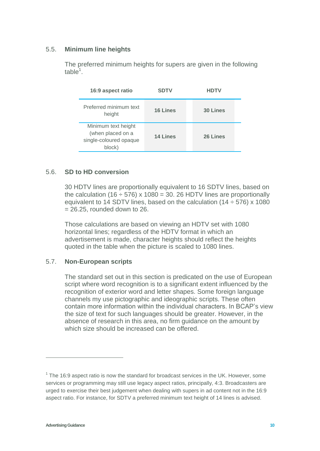#### 5.5. **Minimum line heights**

The preferred minimum heights for supers are given in the following  $table<sup>1</sup>$ .

| 16:9 aspect ratio                                                            | <b>SDTV</b>     | <b>HDTV</b>     |
|------------------------------------------------------------------------------|-----------------|-----------------|
| Preferred minimum text<br>height                                             | <b>16 Lines</b> | <b>30 Lines</b> |
| Minimum text height<br>(when placed on a<br>single-coloured opaque<br>block) | 14 Lines        | 26 Lines        |

#### 5.6. **SD to HD conversion**

30 HDTV lines are proportionally equivalent to 16 SDTV lines, based on the calculation (16  $\div$  576) x 1080 = 30. 26 HDTV lines are proportionally equivalent to 14 SDTV lines, based on the calculation  $(14 \div 576)$  x 1080  $= 26.25$ , rounded down to 26.

Those calculations are based on viewing an HDTV set with 1080 horizontal lines; regardless of the HDTV format in which an advertisement is made, character heights should reflect the heights quoted in the table when the picture is scaled to 1080 lines.

#### 5.7. **Non-European scripts**

The standard set out in this section is predicated on the use of European script where word recognition is to a significant extent influenced by the recognition of exterior word and letter shapes. Some foreign language channels my use pictographic and ideographic scripts. These often contain more information within the individual characters. In BCAP's view the size of text for such languages should be greater. However, in the absence of research in this area, no firm guidance on the amount by which size should be increased can be offered.

 $\overline{a}$ 

 $1$  The 16:9 aspect ratio is now the standard for broadcast services in the UK. However, some services or programming may still use legacy aspect ratios, principally, 4:3. Broadcasters are urged to exercise their best judgement when dealing with supers in ad content not in the 16:9 aspect ratio. For instance, for SDTV a preferred minimum text height of 14 lines is advised.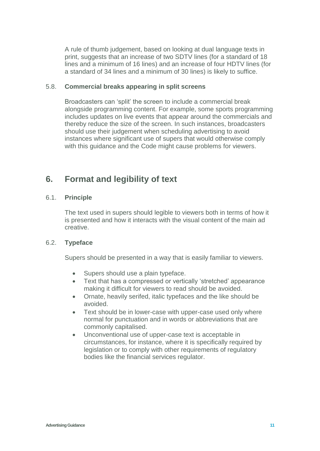A rule of thumb judgement, based on looking at dual language texts in print, suggests that an increase of two SDTV lines (for a standard of 18 lines and a minimum of 16 lines) and an increase of four HDTV lines (for a standard of 34 lines and a minimum of 30 lines) is likely to suffice.

#### 5.8. **Commercial breaks appearing in split screens**

Broadcasters can 'split' the screen to include a commercial break alongside programming content. For example, some sports programming includes updates on live events that appear around the commercials and thereby reduce the size of the screen. In such instances, broadcasters should use their judgement when scheduling advertising to avoid instances where significant use of supers that would otherwise comply with this guidance and the Code might cause problems for viewers.

## **6. Format and legibility of text**

#### 6.1. **Principle**

The text used in supers should legible to viewers both in terms of how it is presented and how it interacts with the visual content of the main ad creative.

#### 6.2. **Typeface**

Supers should be presented in a way that is easily familiar to viewers.

- Supers should use a plain typeface.
- Text that has a compressed or vertically 'stretched' appearance making it difficult for viewers to read should be avoided.
- Ornate, heavily serifed, italic typefaces and the like should be avoided.
- Text should be in lower-case with upper-case used only where normal for punctuation and in words or abbreviations that are commonly capitalised.
- Unconventional use of upper-case text is acceptable in circumstances, for instance, where it is specifically required by legislation or to comply with other requirements of regulatory bodies like the financial services regulator.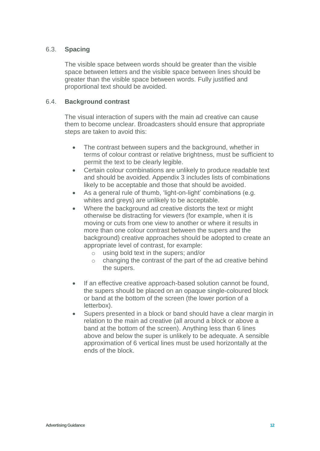#### 6.3. **Spacing**

The visible space between words should be greater than the visible space between letters and the visible space between lines should be greater than the visible space between words. Fully justified and proportional text should be avoided.

#### 6.4. **Background contrast**

The visual interaction of supers with the main ad creative can cause them to become unclear. Broadcasters should ensure that appropriate steps are taken to avoid this:

- The contrast between supers and the background, whether in terms of colour contrast or relative brightness, must be sufficient to permit the text to be clearly legible.
- Certain colour combinations are unlikely to produce readable text and should be avoided. Appendix 3 includes lists of combinations likely to be acceptable and those that should be avoided.
- As a general rule of thumb, 'light-on-light' combinations (e.g. whites and greys) are unlikely to be acceptable.
- Where the background ad creative distorts the text or might otherwise be distracting for viewers (for example, when it is moving or cuts from one view to another or where it results in more than one colour contrast between the supers and the background) creative approaches should be adopted to create an appropriate level of contrast, for example:
	- o using bold text in the supers; and/or
	- o changing the contrast of the part of the ad creative behind the supers.
- If an effective creative approach-based solution cannot be found, the supers should be placed on an opaque single-coloured block or band at the bottom of the screen (the lower portion of a letterbox).
- Supers presented in a block or band should have a clear margin in relation to the main ad creative (all around a block or above a band at the bottom of the screen). Anything less than 6 lines above and below the super is unlikely to be adequate. A sensible approximation of 6 vertical lines must be used horizontally at the ends of the block.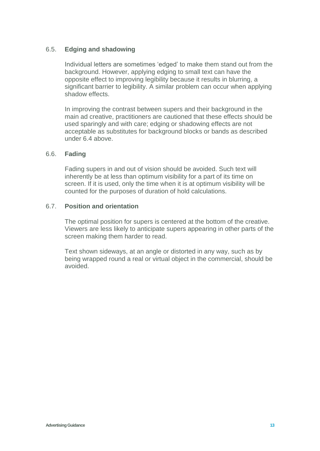#### 6.5. **Edging and shadowing**

Individual letters are sometimes 'edged' to make them stand out from the background. However, applying edging to small text can have the opposite effect to improving legibility because it results in blurring, a significant barrier to legibility. A similar problem can occur when applying shadow effects.

In improving the contrast between supers and their background in the main ad creative, practitioners are cautioned that these effects should be used sparingly and with care; edging or shadowing effects are not acceptable as substitutes for background blocks or bands as described under 6.4 above.

#### 6.6. **Fading**

Fading supers in and out of vision should be avoided. Such text will inherently be at less than optimum visibility for a part of its time on screen. If it is used, only the time when it is at optimum visibility will be counted for the purposes of duration of hold calculations.

#### 6.7. **Position and orientation**

The optimal position for supers is centered at the bottom of the creative. Viewers are less likely to anticipate supers appearing in other parts of the screen making them harder to read.

Text shown sideways, at an angle or distorted in any way, such as by being wrapped round a real or virtual object in the commercial, should be avoided.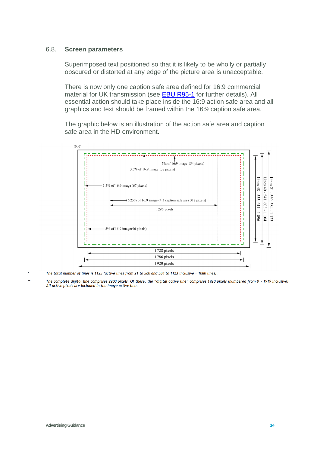#### 6.8. **Screen parameters**

Superimposed text positioned so that it is likely to be wholly or partially obscured or distorted at any edge of the picture area is unacceptable.

There is now only one caption safe area defined for 16:9 commercial material for UK transmission (see [EBU R95-1](https://tech.ebu.ch/publications/r095) for further details). All essential action should take place inside the 16:9 action safe area and all graphics and text should be framed within the 16:9 caption safe area.

The graphic below is an illustration of the action safe area and caption safe area in the HD environment.



The total number of lines is 1125 (active lines from 21 to 560 and 584 to 1123 inclusive = 1080 lines).

The complete digital line comprises 2200 pixels. Of these, the "digital active line" comprises 1920 pixels (numbered from 0 - 1919 inclusive). All active pixels are included in the image active line.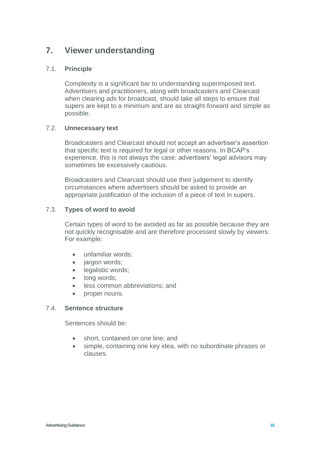## **7. Viewer understanding**

#### 7.1. **Principle**

Complexity is a significant bar to understanding superimposed text. Advertisers and practitioners, along with broadcasters and Clearcast when clearing ads for broadcast, should take all steps to ensure that supers are kept to a minimum and are as straight-forward and simple as possible.

#### 7.2. **Unnecessary text**

Broadcasters and Clearcast should not accept an advertiser's assertion that specific text is required for legal or other reasons. In BCAP's experience, this is not always the case; advertisers' legal advisors may sometimes be excessively cautious.

Broadcasters and Clearcast should use their judgement to identify circumstances where advertisers should be asked to provide an appropriate justification of the inclusion of a piece of text in supers.

#### 7.3. **Types of word to avoid**

Certain types of word to be avoided as far as possible because they are not quickly recognisable and are therefore processed slowly by viewers. For example:

- unfamiliar words:
- jargon words;
- legalistic words;
- **.** long words:
- **.** less common abbreviations; and
- proper nouns.

#### 7.4. **Sentence structure**

Sentences should be:

- short, contained on one line; and
- simple, containing one key idea, with no subordinate phrases or clauses.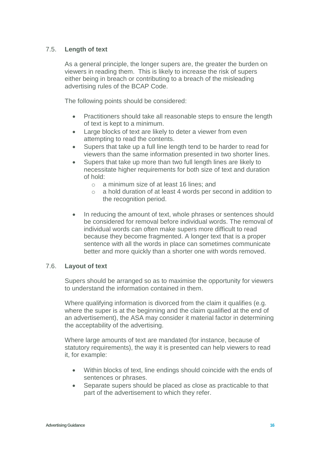#### 7.5. **Length of text**

As a general principle, the longer supers are, the greater the burden on viewers in reading them. This is likely to increase the risk of supers either being in breach or contributing to a breach of the misleading advertising rules of the BCAP Code.

The following points should be considered:

- Practitioners should take all reasonable steps to ensure the length of text is kept to a minimum.
- Large blocks of text are likely to deter a viewer from even attempting to read the contents.
- Supers that take up a full line length tend to be harder to read for viewers than the same information presented in two shorter lines.
- Supers that take up more than two full length lines are likely to necessitate higher requirements for both size of text and duration of hold:
	- o a minimum size of at least 16 lines; and
	- o a hold duration of at least 4 words per second in addition to the recognition period.
- In reducing the amount of text, whole phrases or sentences should be considered for removal before individual words. The removal of individual words can often make supers more difficult to read because they become fragmented. A longer text that is a proper sentence with all the words in place can sometimes communicate better and more quickly than a shorter one with words removed.

#### 7.6. **Layout of text**

Supers should be arranged so as to maximise the opportunity for viewers to understand the information contained in them.

Where qualifying information is divorced from the claim it qualifies (e.g. where the super is at the beginning and the claim qualified at the end of an advertisement), the ASA may consider it material factor in determining the acceptability of the advertising.

Where large amounts of text are mandated (for instance, because of statutory requirements), the way it is presented can help viewers to read it, for example:

- Within blocks of text, line endings should coincide with the ends of sentences or phrases.
- Separate supers should be placed as close as practicable to that part of the advertisement to which they refer.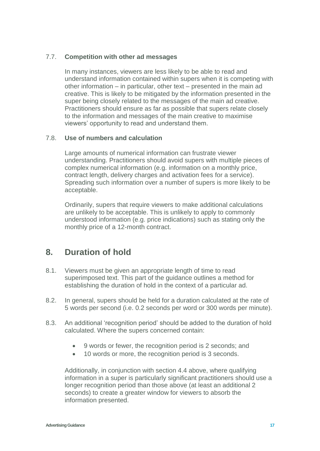#### 7.7. **Competition with other ad messages**

In many instances, viewers are less likely to be able to read and understand information contained within supers when it is competing with other information – in particular, other text – presented in the main ad creative. This is likely to be mitigated by the information presented in the super being closely related to the messages of the main ad creative. Practitioners should ensure as far as possible that supers relate closely to the information and messages of the main creative to maximise viewers' opportunity to read and understand them.

#### 7.8. **Use of numbers and calculation**

Large amounts of numerical information can frustrate viewer understanding. Practitioners should avoid supers with multiple pieces of complex numerical information (e.g. information on a monthly price, contract length, delivery charges and activation fees for a service). Spreading such information over a number of supers is more likely to be acceptable.

Ordinarily, supers that require viewers to make additional calculations are unlikely to be acceptable. This is unlikely to apply to commonly understood information (e.g. price indications) such as stating only the monthly price of a 12-month contract.

## **8. Duration of hold**

- 8.1. Viewers must be given an appropriate length of time to read superimposed text. This part of the guidance outlines a method for establishing the duration of hold in the context of a particular ad.
- 8.2. In general, supers should be held for a duration calculated at the rate of 5 words per second (i.e. 0.2 seconds per word or 300 words per minute).
- 8.3. An additional 'recognition period' should be added to the duration of hold calculated. Where the supers concerned contain:
	- 9 words or fewer, the recognition period is 2 seconds; and
	- 10 words or more, the recognition period is 3 seconds.

Additionally, in conjunction with section 4.4 above, where qualifying information in a super is particularly significant practitioners should use a longer recognition period than those above (at least an additional 2 seconds) to create a greater window for viewers to absorb the information presented.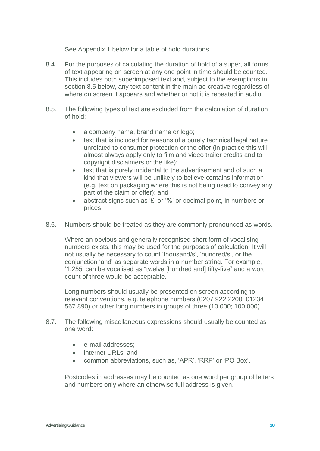See Appendix 1 below for a table of hold durations.

- 8.4. For the purposes of calculating the duration of hold of a super, all forms of text appearing on screen at any one point in time should be counted. This includes both superimposed text and, subject to the exemptions in section 8.5 below, any text content in the main ad creative regardless of where on screen it appears and whether or not it is repeated in audio.
- 8.5. The following types of text are excluded from the calculation of duration of hold:
	- a company name, brand name or logo;
	- text that is included for reasons of a purely technical legal nature unrelated to consumer protection or the offer (in practice this will almost always apply only to film and video trailer credits and to copyright disclaimers or the like);
	- text that is purely incidental to the advertisement and of such a kind that viewers will be unlikely to believe contains information (e.g. text on packaging where this is not being used to convey any part of the claim or offer); and
	- abstract signs such as '£' or '%' or decimal point, in numbers or prices.
- 8.6. Numbers should be treated as they are commonly pronounced as words.

Where an obvious and generally recognised short form of vocalising numbers exists, this may be used for the purposes of calculation. It will not usually be necessary to count 'thousand/s', 'hundred/s', or the conjunction 'and' as separate words in a number string. For example, '1,255' can be vocalised as "twelve [hundred and] fifty-five" and a word count of three would be acceptable.

Long numbers should usually be presented on screen according to relevant conventions, e.g. telephone numbers (0207 922 2200; 01234 567 890) or other long numbers in groups of three (10,000; 100,000).

- 8.7. The following miscellaneous expressions should usually be counted as one word:
	- e-mail addresses;
	- internet URLs: and
	- common abbreviations, such as, 'APR', 'RRP' or 'PO Box'.

Postcodes in addresses may be counted as one word per group of letters and numbers only where an otherwise full address is given.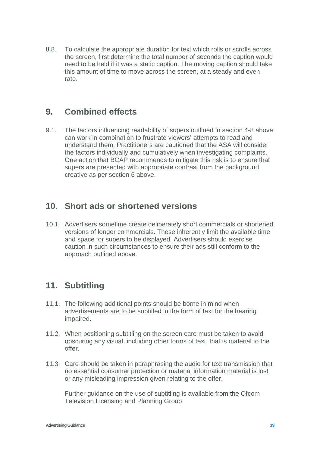8.8. To calculate the appropriate duration for text which rolls or scrolls across the screen, first determine the total number of seconds the caption would need to be held if it was a static caption. The moving caption should take this amount of time to move across the screen, at a steady and even rate.

## **9. Combined effects**

9.1. The factors influencing readability of supers outlined in section 4-8 above can work in combination to frustrate viewers' attempts to read and understand them. Practitioners are cautioned that the ASA will consider the factors individually and cumulatively when investigating complaints. One action that BCAP recommends to mitigate this risk is to ensure that supers are presented with appropriate contrast from the background creative as per section 6 above.

## **10. Short ads or shortened versions**

10.1. Advertisers sometime create deliberately short commercials or shortened versions of longer commercials. These inherently limit the available time and space for supers to be displayed. Advertisers should exercise caution in such circumstances to ensure their ads still conform to the approach outlined above.

## **11. Subtitling**

- 11.1. The following additional points should be borne in mind when advertisements are to be subtitled in the form of text for the hearing impaired.
- 11.2. When positioning subtitling on the screen care must be taken to avoid obscuring any visual, including other forms of text, that is material to the offer.
- 11.3. Care should be taken in paraphrasing the audio for text transmission that no essential consumer protection or material information material is lost or any misleading impression given relating to the offer.

Further guidance on the use of subtitling is available from the Ofcom Television Licensing and Planning Group.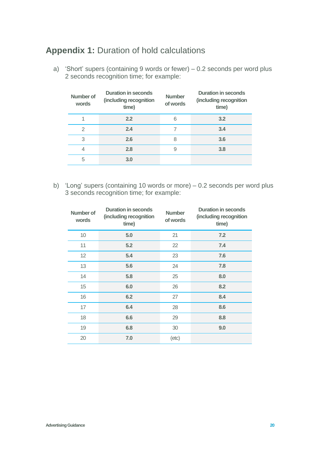## **Appendix 1:** Duration of hold calculations

a) 'Short' supers (containing 9 words or fewer) – 0.2 seconds per word plus 2 seconds recognition time; for example:

| Number of<br>words | <b>Duration in seconds</b><br>(including recognition<br>time) | <b>Number</b><br>of words | <b>Duration in seconds</b><br>(including recognition<br>time) |
|--------------------|---------------------------------------------------------------|---------------------------|---------------------------------------------------------------|
|                    | 2.2                                                           | 6                         | 3.2                                                           |
| $\mathfrak{D}$     | 2.4                                                           |                           | 3.4                                                           |
| 3                  | 2.6                                                           | 8                         | 3.6                                                           |
| 4                  | 2.8                                                           | 9                         | 3.8                                                           |
| 5                  | 3.0                                                           |                           |                                                               |

b) 'Long' supers (containing 10 words or more) – 0.2 seconds per word plus 3 seconds recognition time; for example:

| Number of<br>words | <b>Duration in seconds</b><br>(including recognition<br>time) | <b>Number</b><br>of words | <b>Duration in seconds</b><br>(including recognition<br>time) |
|--------------------|---------------------------------------------------------------|---------------------------|---------------------------------------------------------------|
| 10                 | 5.0                                                           | 21                        | 7.2                                                           |
| 11                 | 5.2                                                           | 22                        | 7.4                                                           |
| 12 <sup>2</sup>    | 5.4                                                           | 23                        | 7.6                                                           |
| 13                 | 5.6                                                           | 24                        | 7.8                                                           |
| 14                 | 5.8                                                           | 25                        | 8.0                                                           |
| 15                 | 6.0                                                           | 26                        | 8.2                                                           |
| 16                 | 6.2                                                           | 27                        | 8.4                                                           |
| 17                 | 6.4                                                           | 28                        | 8.6                                                           |
| 18                 | 6.6                                                           | 29                        | 8.8                                                           |
| 19                 | 6.8                                                           | 30                        | 9.0                                                           |
| 20                 | 7.0                                                           | (etc)                     |                                                               |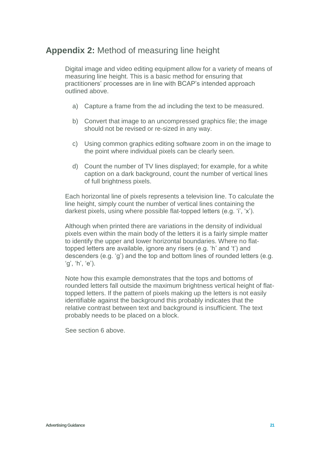## **Appendix 2:** Method of measuring line height

Digital image and video editing equipment allow for a variety of means of measuring line height. This is a basic method for ensuring that practitioners' processes are in line with BCAP's intended approach outlined above.

- a) Capture a frame from the ad including the text to be measured.
- b) Convert that image to an uncompressed graphics file; the image should not be revised or re-sized in any way.
- c) Using common graphics editing software zoom in on the image to the point where individual pixels can be clearly seen.
- d) Count the number of TV lines displayed; for example, for a white caption on a dark background, count the number of vertical lines of full brightness pixels.

Each horizontal line of pixels represents a television line. To calculate the line height, simply count the number of vertical lines containing the darkest pixels, using where possible flat-topped letters (e.g. 'i', 'x').

Although when printed there are variations in the density of individual pixels even within the main body of the letters it is a fairly simple matter to identify the upper and lower horizontal boundaries. Where no flattopped letters are available, ignore any risers (e.g. 'h' and 't') and descenders (e.g. 'g') and the top and bottom lines of rounded letters (e.g. 'g', 'h', 'e').

Note how this example demonstrates that the tops and bottoms of rounded letters fall outside the maximum brightness vertical height of flattopped letters. If the pattern of pixels making up the letters is not easily identifiable against the background this probably indicates that the relative contrast between text and background is insufficient. The text probably needs to be placed on a block.

See section 6 above.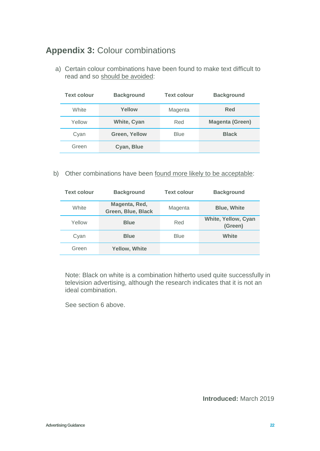## **Appendix 3:** Colour combinations

a) Certain colour combinations have been found to make text difficult to read and so should be avoided:

| <b>Text colour</b> | <b>Background</b> | <b>Text colour</b> | <b>Background</b>      |
|--------------------|-------------------|--------------------|------------------------|
| White              | Yellow            | Magenta            | Red                    |
| Yellow             | White, Cyan       | Red                | <b>Magenta (Green)</b> |
| Cyan               | Green, Yellow     | <b>Blue</b>        | <b>Black</b>           |
| Green              | Cyan, Blue        |                    |                        |

b) Other combinations have been found more likely to be acceptable:

| <b>Text colour</b> | <b>Background</b>                   | <b>Text colour</b> | <b>Background</b>              |
|--------------------|-------------------------------------|--------------------|--------------------------------|
| White              | Magenta, Red,<br>Green, Blue, Black | Magenta            | <b>Blue, White</b>             |
| Yellow             | <b>Blue</b>                         | Red                | White, Yellow, Cyan<br>(Green) |
| Cyan               | <b>Blue</b>                         | <b>Blue</b>        | White                          |
| Green              | <b>Yellow, White</b>                |                    |                                |

Note: Black on white is a combination hitherto used quite successfully in television advertising, although the research indicates that it is not an ideal combination.

See section 6 above.

**Introduced:** March 2019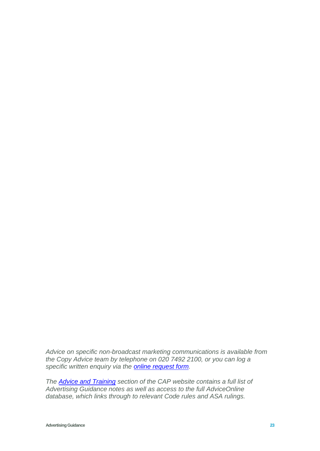*Advice on specific non-broadcast marketing communications is available from the Copy Advice team by telephone on 020 7492 2100, or you can log a specific written enquiry via the [online request form.](https://www.asa.org.uk/advice-and-resources/bespoke-copy-advice.html)* 

*The [Advice and Training](https://www.asa.org.uk/advice-and-resources.html) section of the CAP website contains a full list of Advertising Guidance notes as well as access to the full AdviceOnline database, which links through to relevant Code rules and ASA rulings.*